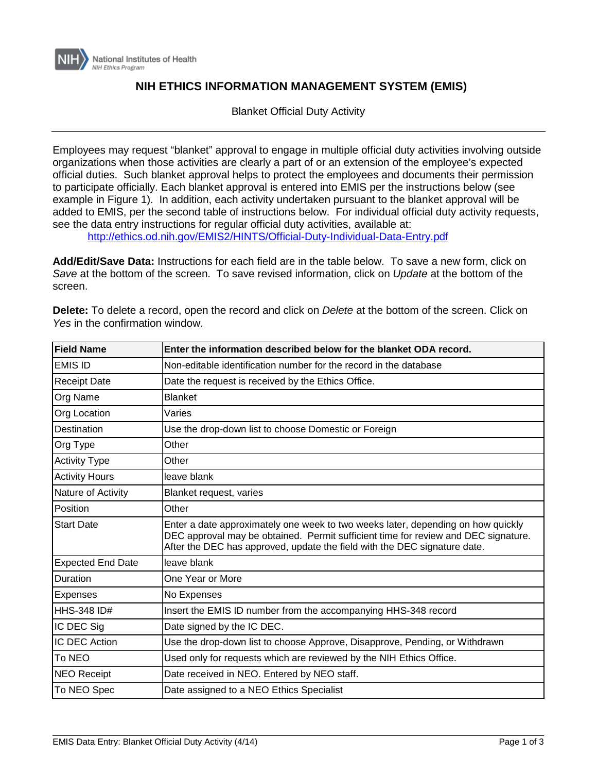

## **NIH ETHICS INFORMATION MANAGEMENT SYSTEM (EMIS)**

Blanket Official Duty Activity

Employees may request "blanket" approval to engage in multiple official duty activities involving outside organizations when those activities are clearly a part of or an extension of the employee's expected official duties. Such blanket approval helps to protect the employees and documents their permission to participate officially. Each blanket approval is entered into EMIS per the instructions below (see example in Figure 1). In addition, each activity undertaken pursuant to the blanket approval will be added to EMIS, per the second table of instructions below. For individual official duty activity requests, see the data entry instructions for regular official duty activities, available at:

<http://ethics.od.nih.gov/EMIS2/HINTS/Official-Duty-Individual-Data-Entry.pdf>

**Add/Edit/Save Data:** Instructions for each field are in the table below. To save a new form, click on *Save* at the bottom of the screen. To save revised information, click on *Update* at the bottom of the screen.

| <b>Field Name</b>        | Enter the information described below for the blanket ODA record.                                                                                                                                                                                   |  |  |
|--------------------------|-----------------------------------------------------------------------------------------------------------------------------------------------------------------------------------------------------------------------------------------------------|--|--|
| <b>EMIS ID</b>           | Non-editable identification number for the record in the database                                                                                                                                                                                   |  |  |
| <b>Receipt Date</b>      | Date the request is received by the Ethics Office.                                                                                                                                                                                                  |  |  |
| Org Name                 | <b>Blanket</b>                                                                                                                                                                                                                                      |  |  |
| Org Location             | Varies                                                                                                                                                                                                                                              |  |  |
| <b>Destination</b>       | Use the drop-down list to choose Domestic or Foreign                                                                                                                                                                                                |  |  |
| Org Type                 | Other                                                                                                                                                                                                                                               |  |  |
| <b>Activity Type</b>     | Other                                                                                                                                                                                                                                               |  |  |
| <b>Activity Hours</b>    | leave blank                                                                                                                                                                                                                                         |  |  |
| Nature of Activity       | Blanket request, varies                                                                                                                                                                                                                             |  |  |
| Position                 | Other                                                                                                                                                                                                                                               |  |  |
| <b>Start Date</b>        | Enter a date approximately one week to two weeks later, depending on how quickly<br>DEC approval may be obtained. Permit sufficient time for review and DEC signature.<br>After the DEC has approved, update the field with the DEC signature date. |  |  |
| <b>Expected End Date</b> | leave blank                                                                                                                                                                                                                                         |  |  |
| Duration                 | One Year or More                                                                                                                                                                                                                                    |  |  |
| <b>Expenses</b>          | No Expenses                                                                                                                                                                                                                                         |  |  |
| <b>HHS-348 ID#</b>       | Insert the EMIS ID number from the accompanying HHS-348 record                                                                                                                                                                                      |  |  |
| IC DEC Sig               | Date signed by the IC DEC.                                                                                                                                                                                                                          |  |  |
| IC DEC Action            | Use the drop-down list to choose Approve, Disapprove, Pending, or Withdrawn                                                                                                                                                                         |  |  |
| To NEO                   | Used only for requests which are reviewed by the NIH Ethics Office.                                                                                                                                                                                 |  |  |
| <b>NEO Receipt</b>       | Date received in NEO. Entered by NEO staff.                                                                                                                                                                                                         |  |  |
| To NEO Spec              | Date assigned to a NEO Ethics Specialist                                                                                                                                                                                                            |  |  |

**Delete:** To delete a record, open the record and click on *Delete* at the bottom of the screen. Click on *Yes* in the confirmation window.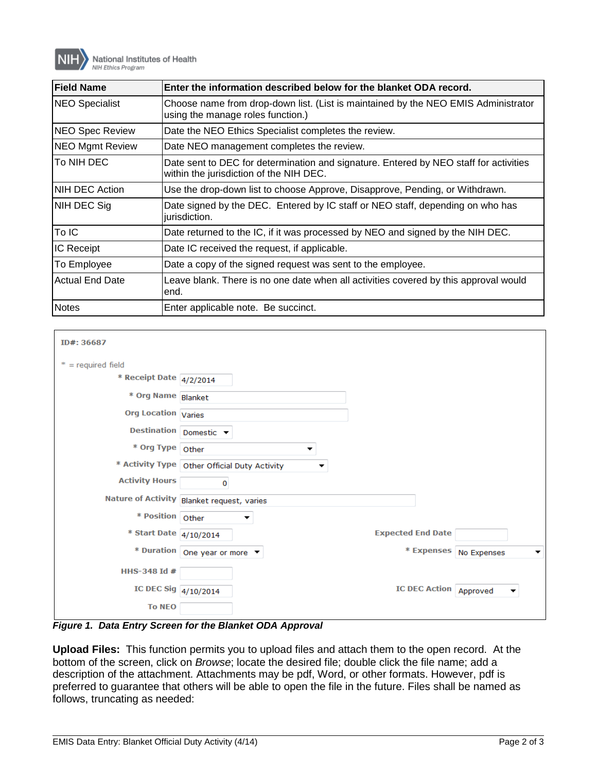

| <b>Field Name</b>      | Enter the information described below for the blanket ODA record.                                                                |  |  |
|------------------------|----------------------------------------------------------------------------------------------------------------------------------|--|--|
| <b>NEO Specialist</b>  | Choose name from drop-down list. (List is maintained by the NEO EMIS Administrator<br>using the manage roles function.)          |  |  |
| <b>NEO Spec Review</b> | Date the NEO Ethics Specialist completes the review.                                                                             |  |  |
| <b>NEO Mgmt Review</b> | Date NEO management completes the review.                                                                                        |  |  |
| To NIH DEC             | Date sent to DEC for determination and signature. Entered by NEO staff for activities<br>within the jurisdiction of the NIH DEC. |  |  |
| <b>NIH DEC Action</b>  | Use the drop-down list to choose Approve, Disapprove, Pending, or Withdrawn.                                                     |  |  |
| NIH DEC Sig            | Date signed by the DEC. Entered by IC staff or NEO staff, depending on who has<br>jurisdiction.                                  |  |  |
| To IC                  | Date returned to the IC, if it was processed by NEO and signed by the NIH DEC.                                                   |  |  |
| <b>IC Receipt</b>      | Date IC received the request, if applicable.                                                                                     |  |  |
| To Employee            | Date a copy of the signed request was sent to the employee.                                                                      |  |  |
| <b>Actual End Date</b> | Leave blank. There is no one date when all activities covered by this approval would<br>lend.                                    |  |  |
| <b>Notes</b>           | Enter applicable note. Be succinct.                                                                                              |  |  |

| ID#: 36687                 |                                                     |                                 |                               |
|----------------------------|-----------------------------------------------------|---------------------------------|-------------------------------|
| $*$ = required field       |                                                     |                                 |                               |
| * Receipt Date 4/2/2014    |                                                     |                                 |                               |
| * Org Name Blanket         |                                                     |                                 |                               |
| <b>Org Location Varies</b> |                                                     |                                 |                               |
|                            | Destination Domestic v                              |                                 |                               |
| * Org Type Other           | ▼                                                   |                                 |                               |
|                            | * Activity Type   Other Official Duty Activity<br>▼ |                                 |                               |
| <b>Activity Hours</b>      | 0                                                   |                                 |                               |
|                            | Nature of Activity Blanket request, varies          |                                 |                               |
| * Position   Other         | ▼                                                   |                                 |                               |
| * Start Date 4/10/2014     |                                                     | <b>Expected End Date</b>        |                               |
|                            | * Duration   One year or more $\blacktriangledown$  |                                 | * Expenses   No Expenses<br>▼ |
| HHS-348 Id #               |                                                     |                                 |                               |
| IC DEC Sig 4/10/2014       |                                                     | <b>IC DEC Action   Approved</b> | ▼                             |
| <b>To NEO</b>              |                                                     |                                 |                               |

*Figure 1. Data Entry Screen for the Blanket ODA Approval*

**Upload Files:** This function permits you to upload files and attach them to the open record. At the bottom of the screen, click on *Browse*; locate the desired file; double click the file name; add a description of the attachment. Attachments may be pdf, Word, or other formats. However, pdf is preferred to guarantee that others will be able to open the file in the future. Files shall be named as follows, truncating as needed: